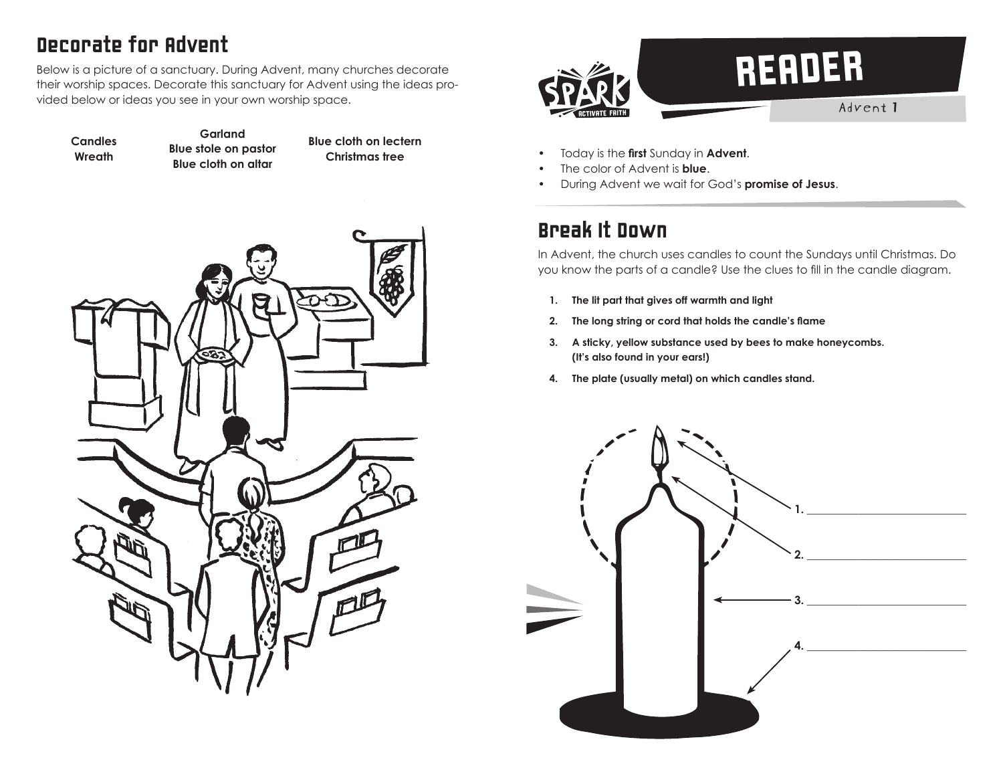# Decorate for Advent

Below is a picture of a sanctuary. During Advent, many churches decorate their worship spaces. Decorate this sanctuary for Advent using the ideas provided below or ideas you see in your own worship space.

**Garland**

**Candles Wreath Blue stole on pastor Blue cloth on altar Blue cloth on lectern Christmas tree**



- Today is the **first** Sunday in **Advent**.
- The color of Advent is **blue**.
- During Advent we wait for God's **promise of Jesus**.

#### Break It Down

In Advent, the church uses candles to count the Sundays until Christmas. Do you know the parts of a candle? Use the clues to fill in the candle diagram.

- **1. The lit part that gives off warmth and light**
- **2. The long string or cord that holds the candle's flame**
- **3. A sticky, yellow substance used by bees to make honeycombs. (It's also found in your ears!)**
- **4. The plate (usually metal) on which candles stand.**